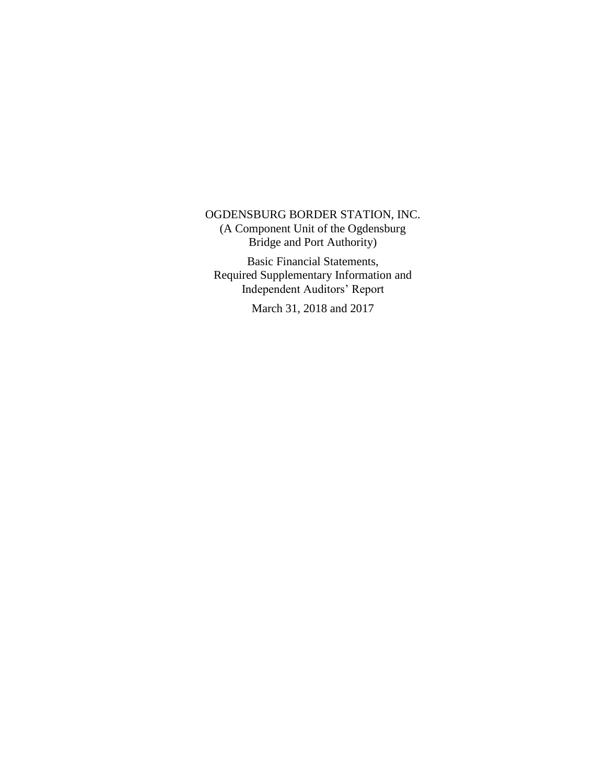Basic Financial Statements, Required Supplementary Information and Independent Auditors' Report

March 31, 2018 and 2017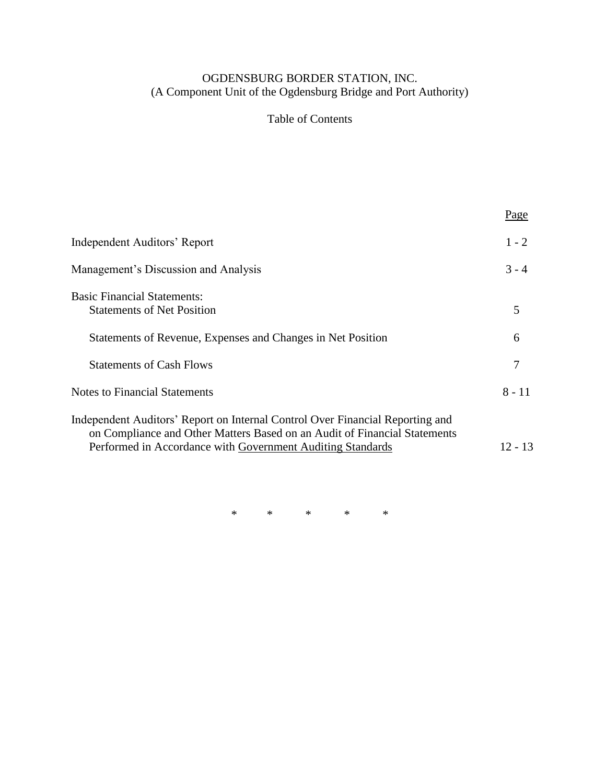Table of Contents

| Page      |
|-----------|
| $1 - 2$   |
| $3 - 4$   |
| 5         |
| 6         |
| 7         |
| $8 - 11$  |
| $12 - 13$ |
|           |

\* \* \* \* \*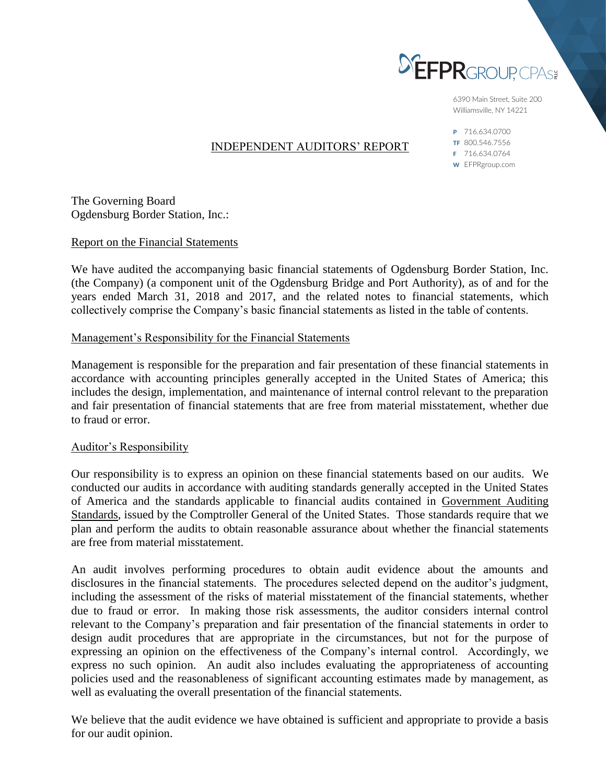

6390 Main Street, Suite 200 Williamsville, NY 14221

# INDEPENDENT AUDITORS' REPORT

P 716.634.0700 TF 800.546.7556 F 716.634.0764 W EFPRgroup.com

The Governing Board Ogdensburg Border Station, Inc.:

Report on the Financial Statements

We have audited the accompanying basic financial statements of Ogdensburg Border Station, Inc. (the Company) (a component unit of the Ogdensburg Bridge and Port Authority), as of and for the years ended March 31, 2018 and 2017, and the related notes to financial statements, which collectively comprise the Company's basic financial statements as listed in the table of contents.

#### Management's Responsibility for the Financial Statements

Management is responsible for the preparation and fair presentation of these financial statements in accordance with accounting principles generally accepted in the United States of America; this includes the design, implementation, and maintenance of internal control relevant to the preparation and fair presentation of financial statements that are free from material misstatement, whether due to fraud or error.

#### Auditor's Responsibility

Our responsibility is to express an opinion on these financial statements based on our audits. We conducted our audits in accordance with auditing standards generally accepted in the United States of America and the standards applicable to financial audits contained in Government Auditing Standards, issued by the Comptroller General of the United States. Those standards require that we plan and perform the audits to obtain reasonable assurance about whether the financial statements are free from material misstatement.

An audit involves performing procedures to obtain audit evidence about the amounts and disclosures in the financial statements. The procedures selected depend on the auditor's judgment, including the assessment of the risks of material misstatement of the financial statements, whether due to fraud or error. In making those risk assessments, the auditor considers internal control relevant to the Company's preparation and fair presentation of the financial statements in order to design audit procedures that are appropriate in the circumstances, but not for the purpose of expressing an opinion on the effectiveness of the Company's internal control. Accordingly, we express no such opinion. An audit also includes evaluating the appropriateness of accounting policies used and the reasonableness of significant accounting estimates made by management, as well as evaluating the overall presentation of the financial statements.

We believe that the audit evidence we have obtained is sufficient and appropriate to provide a basis for our audit opinion.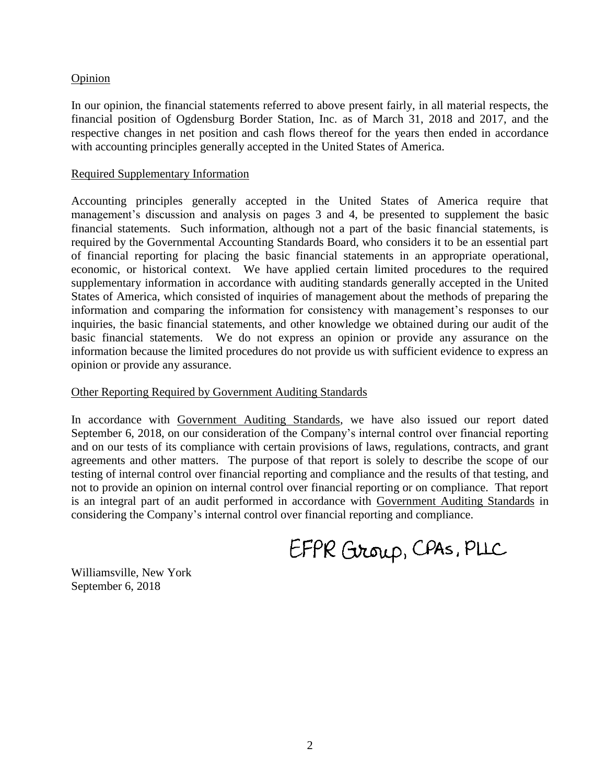# **Opinion**

In our opinion, the financial statements referred to above present fairly, in all material respects, the financial position of Ogdensburg Border Station, Inc. as of March 31, 2018 and 2017, and the respective changes in net position and cash flows thereof for the years then ended in accordance with accounting principles generally accepted in the United States of America.

## Required Supplementary Information

Accounting principles generally accepted in the United States of America require that management's discussion and analysis on pages 3 and 4, be presented to supplement the basic financial statements. Such information, although not a part of the basic financial statements, is required by the Governmental Accounting Standards Board, who considers it to be an essential part of financial reporting for placing the basic financial statements in an appropriate operational, economic, or historical context. We have applied certain limited procedures to the required supplementary information in accordance with auditing standards generally accepted in the United States of America, which consisted of inquiries of management about the methods of preparing the information and comparing the information for consistency with management's responses to our inquiries, the basic financial statements, and other knowledge we obtained during our audit of the basic financial statements. We do not express an opinion or provide any assurance on the information because the limited procedures do not provide us with sufficient evidence to express an opinion or provide any assurance.

#### Other Reporting Required by Government Auditing Standards

In accordance with Government Auditing Standards, we have also issued our report dated September 6, 2018, on our consideration of the Company's internal control over financial reporting and on our tests of its compliance with certain provisions of laws, regulations, contracts, and grant agreements and other matters. The purpose of that report is solely to describe the scope of our testing of internal control over financial reporting and compliance and the results of that testing, and not to provide an opinion on internal control over financial reporting or on compliance. That report is an integral part of an audit performed in accordance with Government Auditing Standards in considering the Company's internal control over financial reporting and compliance.

EFPR Group, CPAS, PLLC

Williamsville, New York September 6, 2018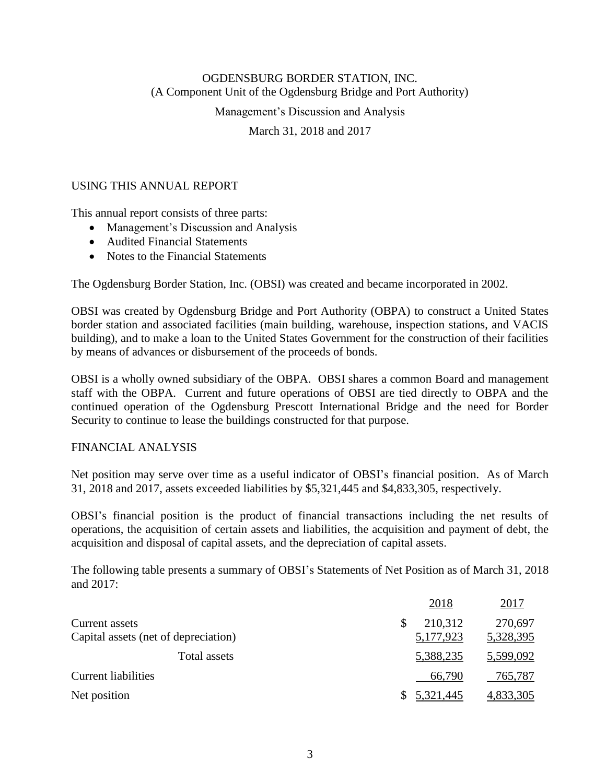Management's Discussion and Analysis

March 31, 2018 and 2017

# USING THIS ANNUAL REPORT

This annual report consists of three parts:

- Management's Discussion and Analysis
- Audited Financial Statements
- Notes to the Financial Statements

The Ogdensburg Border Station, Inc. (OBSI) was created and became incorporated in 2002.

OBSI was created by Ogdensburg Bridge and Port Authority (OBPA) to construct a United States border station and associated facilities (main building, warehouse, inspection stations, and VACIS building), and to make a loan to the United States Government for the construction of their facilities by means of advances or disbursement of the proceeds of bonds.

OBSI is a wholly owned subsidiary of the OBPA. OBSI shares a common Board and management staff with the OBPA. Current and future operations of OBSI are tied directly to OBPA and the continued operation of the Ogdensburg Prescott International Bridge and the need for Border Security to continue to lease the buildings constructed for that purpose.

## FINANCIAL ANALYSIS

Net position may serve over time as a useful indicator of OBSI's financial position. As of March 31, 2018 and 2017, assets exceeded liabilities by \$5,321,445 and \$4,833,305, respectively.

OBSI's financial position is the product of financial transactions including the net results of operations, the acquisition of certain assets and liabilities, the acquisition and payment of debt, the acquisition and disposal of capital assets, and the depreciation of capital assets.

The following table presents a summary of OBSI's Statements of Net Position as of March 31, 2018 and 2017:

|                                      | 2018        | 2017      |
|--------------------------------------|-------------|-----------|
| Current assets                       | 210,312     | 270,697   |
| Capital assets (net of depreciation) | 5,177,923   | 5,328,395 |
| Total assets                         | 5,388,235   | 5,599,092 |
| <b>Current liabilities</b>           | 66,790      | 765,787   |
| Net position                         | \$5,321,445 | 4,833,305 |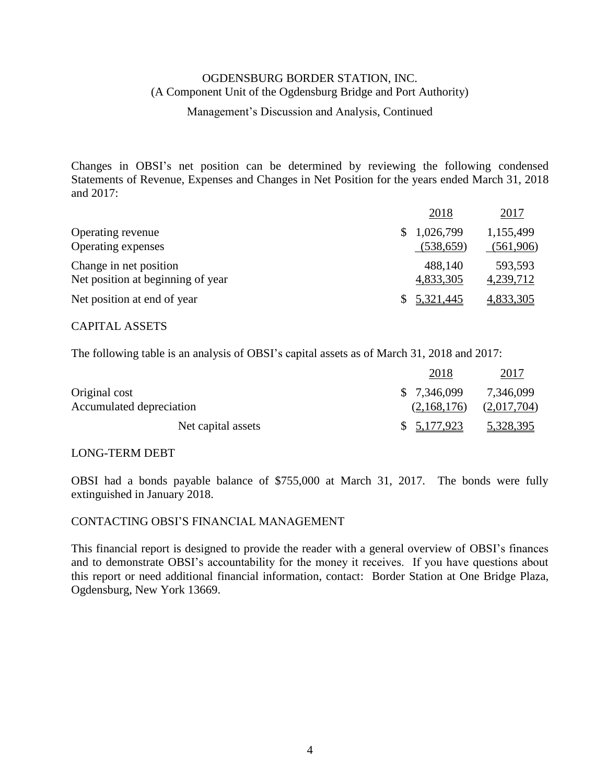#### Management's Discussion and Analysis, Continued

Changes in OBSI's net position can be determined by reviewing the following condensed Statements of Revenue, Expenses and Changes in Net Position for the years ended March 31, 2018 and 2017:

|                                                             | 2018                    |           | 2017      |
|-------------------------------------------------------------|-------------------------|-----------|-----------|
| Operating revenue<br>Operating expenses                     | 1,026,799<br>(538, 659) | 1,155,499 | (561,906) |
| Change in net position<br>Net position at beginning of year | 488,140<br>4,833,305    | 4,239,712 | 593,593   |
| Net position at end of year                                 | 5,321,445               | 4,833,305 |           |

## CAPITAL ASSETS

The following table is an analysis of OBSI's capital assets as of March 31, 2018 and 2017:

|                          | 2018        | <u> 2017 </u> |
|--------------------------|-------------|---------------|
| Original cost            | \$7,346,099 | 7,346,099     |
| Accumulated depreciation | (2,168,176) | (2,017,704)   |
| Net capital assets       | \$5,177,923 | 5,328,395     |

#### LONG-TERM DEBT

OBSI had a bonds payable balance of \$755,000 at March 31, 2017. The bonds were fully extinguished in January 2018.

## CONTACTING OBSI'S FINANCIAL MANAGEMENT

This financial report is designed to provide the reader with a general overview of OBSI's finances and to demonstrate OBSI's accountability for the money it receives. If you have questions about this report or need additional financial information, contact: Border Station at One Bridge Plaza, Ogdensburg, New York 13669.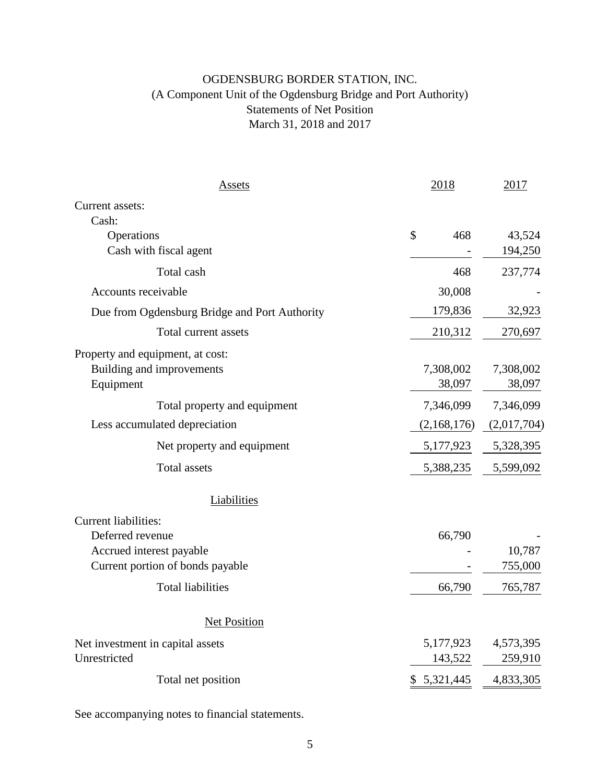# March 31, 2018 and 2017 (A Component Unit of the Ogdensburg Bridge and Port Authority) OGDENSBURG BORDER STATION, INC. Statements of Net Position

| Assets                                        | 2018            |     | 2017        |
|-----------------------------------------------|-----------------|-----|-------------|
| Current assets:                               |                 |     |             |
| Cash:                                         |                 |     |             |
| Operations                                    | \$              | 468 | 43,524      |
| Cash with fiscal agent                        |                 |     | 194,250     |
| Total cash                                    |                 | 468 | 237,774     |
| Accounts receivable                           | 30,008          |     |             |
| Due from Ogdensburg Bridge and Port Authority | 179,836         |     | 32,923      |
| Total current assets                          | 210,312         |     | 270,697     |
| Property and equipment, at cost:              |                 |     |             |
| Building and improvements                     | 7,308,002       |     | 7,308,002   |
| Equipment                                     | 38,097          |     | 38,097      |
| Total property and equipment                  | 7,346,099       |     | 7,346,099   |
| Less accumulated depreciation                 | (2,168,176)     |     | (2,017,704) |
| Net property and equipment                    | 5,177,923       |     | 5,328,395   |
| <b>Total assets</b>                           | 5,388,235       |     | 5,599,092   |
| Liabilities                                   |                 |     |             |
| <b>Current liabilities:</b>                   |                 |     |             |
| Deferred revenue                              | 66,790          |     |             |
| Accrued interest payable                      |                 |     | 10,787      |
| Current portion of bonds payable              |                 |     | 755,000     |
| <b>Total liabilities</b>                      | 66,790          |     | 765,787     |
| Net Position                                  |                 |     |             |
| Net investment in capital assets              | 5,177,923       |     | 4,573,395   |
| Unrestricted                                  | 143,522         |     | 259,910     |
|                                               |                 |     |             |
| Total net position                            | 5,321,445<br>\$ |     | 4,833,305   |

See accompanying notes to financial statements.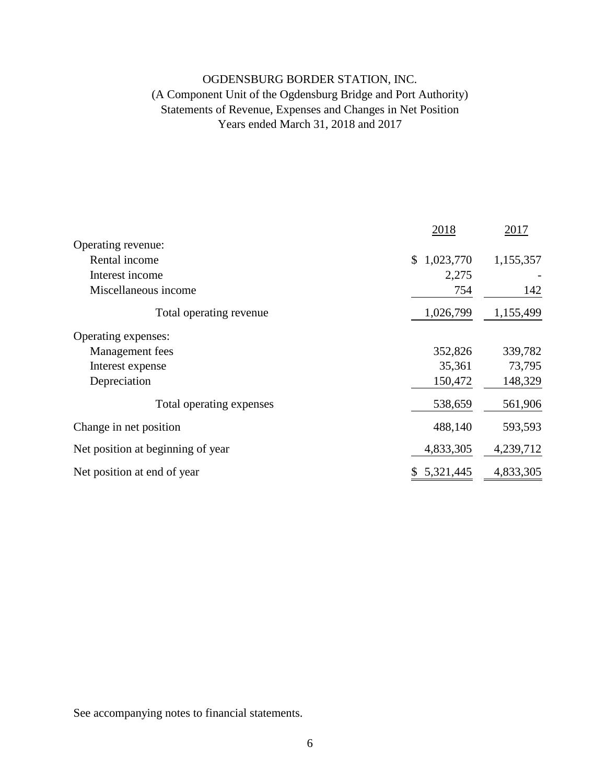# OGDENSBURG BORDER STATION, INC. Statements of Revenue, Expenses and Changes in Net Position Years ended March 31, 2018 and 2017 (A Component Unit of the Ogdensburg Bridge and Port Authority)

|                                   | 2018            | 2017      |
|-----------------------------------|-----------------|-----------|
| Operating revenue:                |                 |           |
| Rental income                     | 1,023,770<br>\$ | 1,155,357 |
| Interest income                   | 2,275           |           |
| Miscellaneous income              | 754             | 142       |
| Total operating revenue           | 1,026,799       | 1,155,499 |
| Operating expenses:               |                 |           |
| Management fees                   | 352,826         | 339,782   |
| Interest expense                  | 35,361          | 73,795    |
| Depreciation                      | 150,472         | 148,329   |
| Total operating expenses          | 538,659         | 561,906   |
| Change in net position            | 488,140         | 593,593   |
| Net position at beginning of year | 4,833,305       | 4,239,712 |
| Net position at end of year       | 5,321,445       | 4,833,305 |

See accompanying notes to financial statements.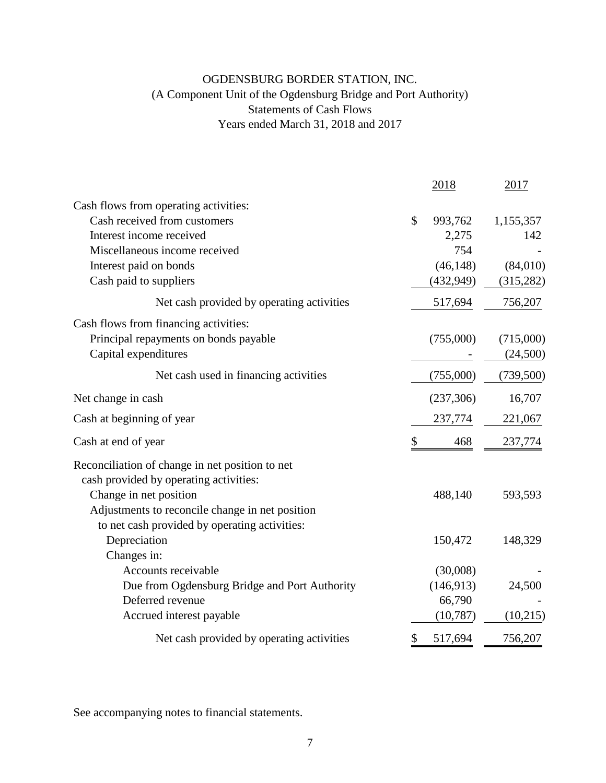# OGDENSBURG BORDER STATION, INC. Statements of Cash Flows Years ended March 31, 2018 and 2017 (A Component Unit of the Ogdensburg Bridge and Port Authority)

|                                                 | 2018          | 2017       |
|-------------------------------------------------|---------------|------------|
| Cash flows from operating activities:           |               |            |
| Cash received from customers                    | \$<br>993,762 | 1,155,357  |
| Interest income received                        | 2,275         | 142        |
| Miscellaneous income received                   | 754           |            |
| Interest paid on bonds                          | (46, 148)     | (84,010)   |
| Cash paid to suppliers                          | (432, 949)    | (315, 282) |
| Net cash provided by operating activities       | 517,694       | 756,207    |
| Cash flows from financing activities:           |               |            |
| Principal repayments on bonds payable           | (755,000)     | (715,000)  |
| Capital expenditures                            |               | (24,500)   |
| Net cash used in financing activities           | (755,000)     | (739,500)  |
| Net change in cash                              | (237,306)     | 16,707     |
| Cash at beginning of year                       | 237,774       | 221,067    |
| Cash at end of year                             | \$<br>468     | 237,774    |
| Reconciliation of change in net position to net |               |            |
| cash provided by operating activities:          |               |            |
| Change in net position                          | 488,140       | 593,593    |
| Adjustments to reconcile change in net position |               |            |
| to net cash provided by operating activities:   |               |            |
| Depreciation                                    | 150,472       | 148,329    |
| Changes in:                                     |               |            |
| Accounts receivable                             | (30,008)      |            |
| Due from Ogdensburg Bridge and Port Authority   | (146,913)     | 24,500     |
| Deferred revenue                                | 66,790        |            |
| Accrued interest payable                        | (10,787)      | (10,215)   |
| Net cash provided by operating activities       | \$<br>517,694 | 756,207    |

See accompanying notes to financial statements.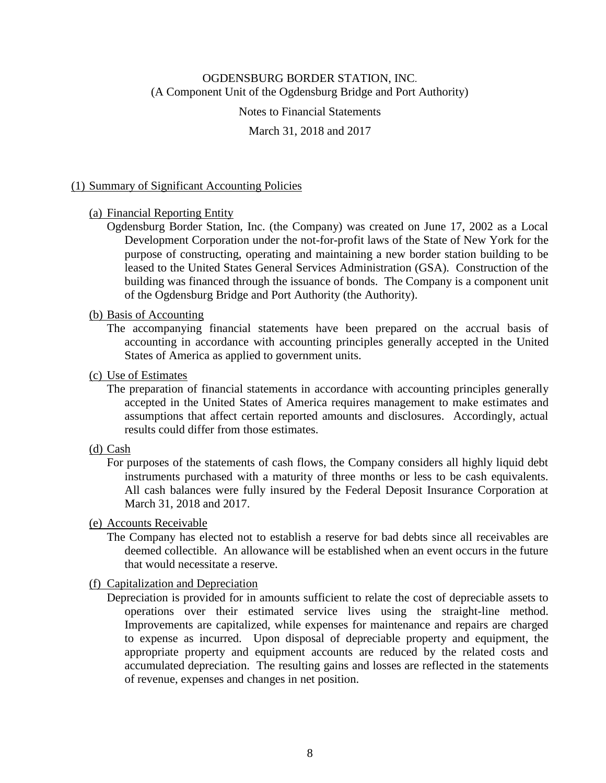Notes to Financial Statements

March 31, 2018 and 2017

## (1) Summary of Significant Accounting Policies

#### (a) Financial Reporting Entity

Ogdensburg Border Station, Inc. (the Company) was created on June 17, 2002 as a Local Development Corporation under the not-for-profit laws of the State of New York for the purpose of constructing, operating and maintaining a new border station building to be leased to the United States General Services Administration (GSA). Construction of the building was financed through the issuance of bonds. The Company is a component unit of the Ogdensburg Bridge and Port Authority (the Authority).

#### (b) Basis of Accounting

The accompanying financial statements have been prepared on the accrual basis of accounting in accordance with accounting principles generally accepted in the United States of America as applied to government units.

#### (c) Use of Estimates

The preparation of financial statements in accordance with accounting principles generally accepted in the United States of America requires management to make estimates and assumptions that affect certain reported amounts and disclosures. Accordingly, actual results could differ from those estimates.

#### (d) Cash

For purposes of the statements of cash flows, the Company considers all highly liquid debt instruments purchased with a maturity of three months or less to be cash equivalents. All cash balances were fully insured by the Federal Deposit Insurance Corporation at March 31, 2018 and 2017.

#### (e) Accounts Receivable

The Company has elected not to establish a reserve for bad debts since all receivables are deemed collectible. An allowance will be established when an event occurs in the future that would necessitate a reserve.

## (f) Capitalization and Depreciation

Depreciation is provided for in amounts sufficient to relate the cost of depreciable assets to operations over their estimated service lives using the straight-line method. Improvements are capitalized, while expenses for maintenance and repairs are charged to expense as incurred. Upon disposal of depreciable property and equipment, the appropriate property and equipment accounts are reduced by the related costs and accumulated depreciation. The resulting gains and losses are reflected in the statements of revenue, expenses and changes in net position.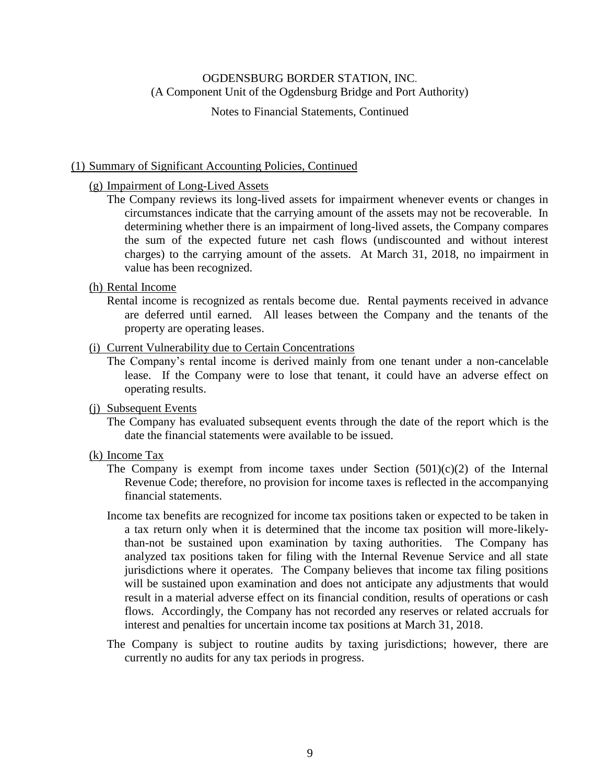Notes to Financial Statements, Continued

# (1) Summary of Significant Accounting Policies, Continued

## (g) Impairment of Long-Lived Assets

The Company reviews its long-lived assets for impairment whenever events or changes in circumstances indicate that the carrying amount of the assets may not be recoverable. In determining whether there is an impairment of long-lived assets, the Company compares the sum of the expected future net cash flows (undiscounted and without interest charges) to the carrying amount of the assets. At March 31, 2018, no impairment in value has been recognized.

# (h) Rental Income

Rental income is recognized as rentals become due. Rental payments received in advance are deferred until earned. All leases between the Company and the tenants of the property are operating leases.

# (i) Current Vulnerability due to Certain Concentrations

The Company's rental income is derived mainly from one tenant under a non-cancelable lease. If the Company were to lose that tenant, it could have an adverse effect on operating results.

## (j) Subsequent Events

The Company has evaluated subsequent events through the date of the report which is the date the financial statements were available to be issued.

## (k) Income Tax

- The Company is exempt from income taxes under Section  $(501)(c)(2)$  of the Internal Revenue Code; therefore, no provision for income taxes is reflected in the accompanying financial statements.
- Income tax benefits are recognized for income tax positions taken or expected to be taken in a tax return only when it is determined that the income tax position will more-likelythan-not be sustained upon examination by taxing authorities. The Company has analyzed tax positions taken for filing with the Internal Revenue Service and all state jurisdictions where it operates. The Company believes that income tax filing positions will be sustained upon examination and does not anticipate any adjustments that would result in a material adverse effect on its financial condition, results of operations or cash flows. Accordingly, the Company has not recorded any reserves or related accruals for interest and penalties for uncertain income tax positions at March 31, 2018.
- The Company is subject to routine audits by taxing jurisdictions; however, there are currently no audits for any tax periods in progress.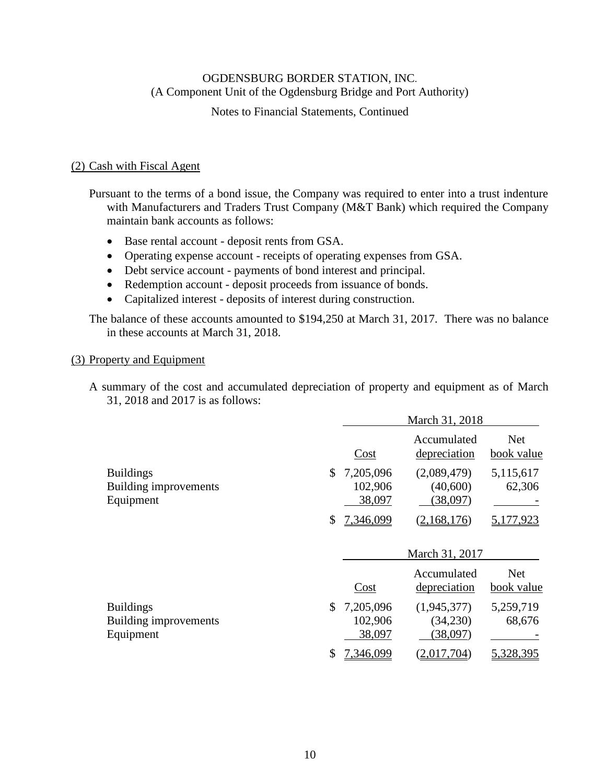#### Notes to Financial Statements, Continued

## (2) Cash with Fiscal Agent

Pursuant to the terms of a bond issue, the Company was required to enter into a trust indenture with Manufacturers and Traders Trust Company (M&T Bank) which required the Company maintain bank accounts as follows:

- Base rental account deposit rents from GSA.
- Operating expense account receipts of operating expenses from GSA.
- Debt service account payments of bond interest and principal.
- Redemption account deposit proceeds from issuance of bonds.
- Capitalized interest deposits of interest during construction.

The balance of these accounts amounted to \$194,250 at March 31, 2017. There was no balance in these accounts at March 31, 2018.

#### (3) Property and Equipment

A summary of the cost and accumulated depreciation of property and equipment as of March 31, 2018 and 2017 is as follows:

|                                                               |                                      | March 31, 2018                      |                          |
|---------------------------------------------------------------|--------------------------------------|-------------------------------------|--------------------------|
|                                                               | Cost                                 | Accumulated<br>depreciation         | <b>Net</b><br>book value |
| <b>Buildings</b><br>Building improvements<br>Equipment        | \$<br>7,205,096<br>102,906<br>38,097 | (2,089,479)<br>(40,600)<br>(38,097) | 5,115,617<br>62,306      |
|                                                               | \$<br>7,346,099                      | (2,168,176)                         | 5,177,923                |
|                                                               |                                      | March 31, 2017                      |                          |
|                                                               | Cost                                 | Accumulated<br>depreciation         | <b>Net</b><br>book value |
| <b>Buildings</b><br><b>Building improvements</b><br>Equipment | \$<br>7,205,096<br>102,906<br>38,097 | (1,945,377)<br>(34,230)<br>(38,097) | 5,259,719<br>68,676      |
|                                                               | \$<br>7,346,099                      | (2,017,704)                         | 5,328,395                |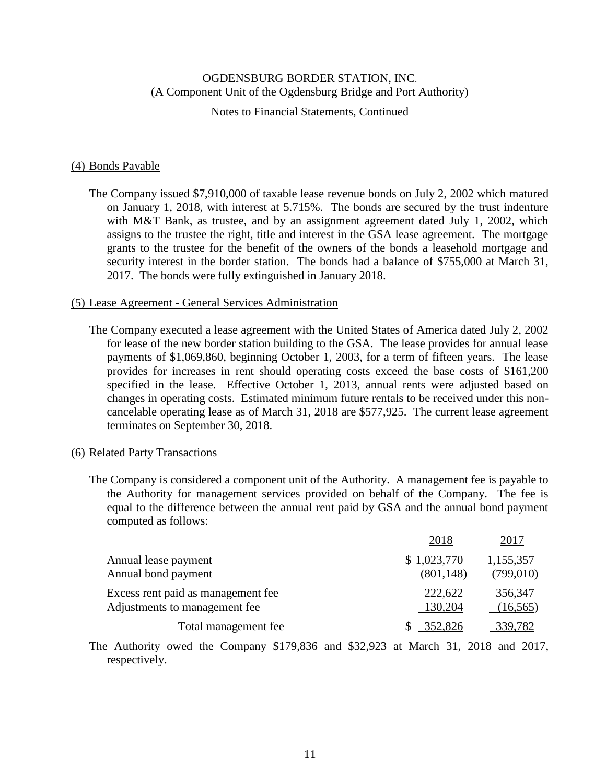#### Notes to Financial Statements, Continued

#### (4) Bonds Payable

The Company issued \$7,910,000 of taxable lease revenue bonds on July 2, 2002 which matured on January 1, 2018, with interest at 5.715%. The bonds are secured by the trust indenture with M&T Bank, as trustee, and by an assignment agreement dated July 1, 2002, which assigns to the trustee the right, title and interest in the GSA lease agreement. The mortgage grants to the trustee for the benefit of the owners of the bonds a leasehold mortgage and security interest in the border station. The bonds had a balance of \$755,000 at March 31, 2017. The bonds were fully extinguished in January 2018.

#### (5) Lease Agreement - General Services Administration

The Company executed a lease agreement with the United States of America dated July 2, 2002 for lease of the new border station building to the GSA. The lease provides for annual lease payments of \$1,069,860, beginning October 1, 2003, for a term of fifteen years. The lease provides for increases in rent should operating costs exceed the base costs of \$161,200 specified in the lease. Effective October 1, 2013, annual rents were adjusted based on changes in operating costs. Estimated minimum future rentals to be received under this noncancelable operating lease as of March 31, 2018 are \$577,925. The current lease agreement terminates on September 30, 2018.

#### (6) Related Party Transactions

The Company is considered a component unit of the Authority. A management fee is payable to the Authority for management services provided on behalf of the Company. The fee is equal to the difference between the annual rent paid by GSA and the annual bond payment computed as follows:

|                                    | 2018        | 2017      |
|------------------------------------|-------------|-----------|
| Annual lease payment               | \$1,023,770 | 1,155,357 |
| Annual bond payment                | (801, 148)  | (799,010) |
| Excess rent paid as management fee | 222,622     | 356,347   |
| Adjustments to management fee      | 130,204     | (16, 565) |
| Total management fee               | 352,826     | 339,782   |

The Authority owed the Company \$179,836 and \$32,923 at March 31, 2018 and 2017, respectively.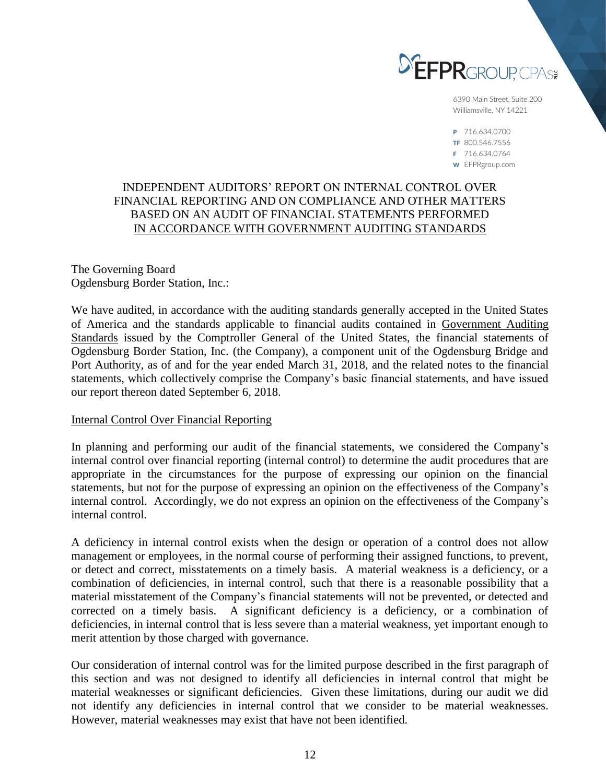

6390 Main Street, Suite 200 Williamsville, NY 14221

P 716.634.0700 TF 800.546.7556 F 716.634.0764 W EFPRgroup.com

# INDEPENDENT AUDITORS' REPORT ON INTERNAL CONTROL OVER FINANCIAL REPORTING AND ON COMPLIANCE AND OTHER MATTERS BASED ON AN AUDIT OF FINANCIAL STATEMENTS PERFORMED IN ACCORDANCE WITH GOVERNMENT AUDITING STANDARDS

The Governing Board Ogdensburg Border Station, Inc.:

We have audited, in accordance with the auditing standards generally accepted in the United States of America and the standards applicable to financial audits contained in Government Auditing Standards issued by the Comptroller General of the United States, the financial statements of Ogdensburg Border Station, Inc. (the Company), a component unit of the Ogdensburg Bridge and Port Authority, as of and for the year ended March 31, 2018, and the related notes to the financial statements, which collectively comprise the Company's basic financial statements, and have issued our report thereon dated September 6, 2018.

## Internal Control Over Financial Reporting

In planning and performing our audit of the financial statements, we considered the Company's internal control over financial reporting (internal control) to determine the audit procedures that are appropriate in the circumstances for the purpose of expressing our opinion on the financial statements, but not for the purpose of expressing an opinion on the effectiveness of the Company's internal control. Accordingly, we do not express an opinion on the effectiveness of the Company's internal control.

A deficiency in internal control exists when the design or operation of a control does not allow management or employees, in the normal course of performing their assigned functions, to prevent, or detect and correct, misstatements on a timely basis. A material weakness is a deficiency, or a combination of deficiencies, in internal control, such that there is a reasonable possibility that a material misstatement of the Company's financial statements will not be prevented, or detected and corrected on a timely basis. A significant deficiency is a deficiency, or a combination of deficiencies, in internal control that is less severe than a material weakness, yet important enough to merit attention by those charged with governance.

Our consideration of internal control was for the limited purpose described in the first paragraph of this section and was not designed to identify all deficiencies in internal control that might be material weaknesses or significant deficiencies. Given these limitations, during our audit we did not identify any deficiencies in internal control that we consider to be material weaknesses. However, material weaknesses may exist that have not been identified.